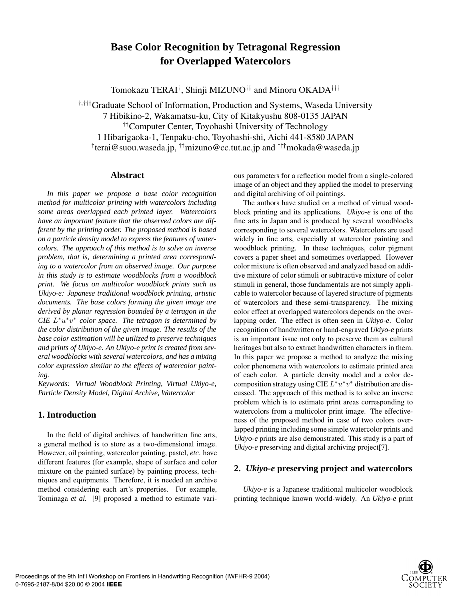# **Base Color Recognition by Tetragonal Regression for Overlapped Watercolors**

Tomokazu TERAI*†*, Shinji MIZUNO*††* and Minoru OKADA*†††*

*†,†††*Graduate School of Information, Production and Systems, Waseda University 7 Hibikino-2, Wakamatsu-ku, City of Kitakyushu 808-0135 JAPAN *††*Computer Center, Toyohashi University of Technology 1 Hibarigaoka-1, Tenpaku-cho, Toyohashi-shi, Aichi 441-8580 JAPAN *†* terai@suou.waseda.jp, *††*mizuno@cc.tut.ac.jp and *†††*mokada@waseda.jp

#### **Abstract**

*In this paper we propose a base color recognition method for multicolor printing with watercolors including some areas overlapped each printed layer. Watercolors have an important feature that the observed colors are different by the printing order. The proposed method is based on a particle density model to express the features of watercolors. The approach of this method is to solve an inverse problem, that is, determining a printed area corresponding to a watercolor from an observed image. Our purpose in this study is to estimate woodblocks from a woodblock print. We focus on multicolor woodblock prints such as Ukiyo-e: Japanese traditional woodblock printing, artistic documents. The base colors forming the given image are derived by planar regression bounded by a tetragon in the CIE* L∗u∗v<sup>∗</sup> *color space. The tetragon is determined by the color distribution of the given image. The results of the base color estimation will be utilized to preserve techniques and prints of Ukiyo-e. An Ukiyo-e print is created from several woodblocks with several watercolors, and has a mixing color expression similar to the effects of watercolor painting.*

*Keywords: Virtual Woodblock Printing, Virtual Ukiyo-e, Particle Density Model, Digital Archive, Watercolor*

### **1. Introduction**

In the field of digital archives of handwritten fine arts, a general method is to store as a two-dimensional image. However, oil painting, watercolor painting, pastel, *etc*. have different features (for example, shape of surface and color mixture on the painted surface) by painting process, techniques and equipments. Therefore, it is needed an archive method considering each art's properties. For example, Tominaga *et al.* [9] proposed a method to estimate various parameters for a reflection model from a single-colored image of an object and they applied the model to preserving and digital archiving of oil paintings.

The authors have studied on a method of virtual woodblock printing and its applications. *Ukiyo-e* is one of the fine arts in Japan and is produced by several woodblocks corresponding to several watercolors. Watercolors are used widely in fine arts, especially at watercolor painting and woodblock printing. In these techniques, color pigment covers a paper sheet and sometimes overlapped. However color mixture is often observed and analyzed based on additive mixture of color stimuli or subtractive mixture of color stimuli in general, those fundamentals are not simply applicable to watercolor because of layered structure of pigments of watercolors and these semi-transparency. The mixing color effect at overlapped watercolors depends on the overlapping order. The effect is often seen in *Ukiyo-e*. Color recognition of handwritten or hand-engraved *Ukiyo-e* prints is an important issue not only to preserve them as cultural heritages but also to extract handwritten characters in them. In this paper we propose a method to analyze the mixing color phenomena with watercolors to estimate printed area of each color. A particle density model and a color decomposition strategy using CIE  $L^*u^*v^*$  distribution are discussed. The approach of this method is to solve an inverse problem which is to estimate print areas corresponding to watercolors from a multicolor print image. The effectiveness of the proposed method in case of two colors overlapped printing including some simple watercolor prints and *Ukiyo-e* prints are also demonstrated. This study is a part of *Ukiyo-e* preserving and digital archiving project[7].

## **2.** *Ukiyo-e* **preserving project and watercolors**

*Ukiyo-e* is a Japanese traditional multicolor woodblock printing technique known world-widely. An *Ukiyo-e* print

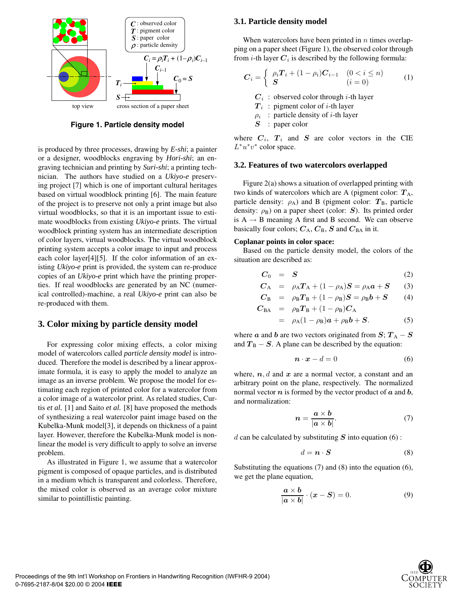

**Figure 1. Particle density model**

is produced by three processes, drawing by *E-shi*; a painter or a designer, woodblocks engraving by *Hori-shi*; an engraving technician and printing by *Suri-shi*; a printing technician. The authors have studied on a *Ukiyo-e* preserving project [7] which is one of important cultural heritages based on virtual woodblock printing [6]. The main feature of the project is to preserve not only a print image but also virtual woodblocks, so that it is an important issue to estimate woodblocks from existing *Ukiyo-e* prints. The virtual woodblock printing system has an intermediate description of color layers, virtual woodblocks. The virtual woodblock printing system accepts a color image to input and process each color layer[4][5]. If the color information of an existing *Ukiyo-e* print is provided, the system can re-produce copies of an *Ukiyo-e* print which have the printing properties. If real woodblocks are generated by an NC (numerical controlled)-machine, a real *Ukiyo-e* print can also be re-produced with them.

#### **3. Color mixing by particle density model**

For expressing color mixing effects, a color mixing model of watercolors called *particle density model* is introduced. Therefore the model is described by a linear approximate formula, it is easy to apply the model to analyze an image as an inverse problem. We propose the model for estimating each region of printed color for a watercolor from a color image of a watercolor print. As related studies, Curtis *et al.* [1] and Saito *et al.* [8] have proposed the methods of synthesizing a real watercolor paint image based on the Kubelka-Munk model[3], it depends on thickness of a paint layer. However, therefore the Kubelka-Munk model is nonlinear the model is very difficult to apply to solve an inverse problem.

As illustrated in Figure 1, we assume that a watercolor pigment is composed of opaque particles, and is distributed in a medium which is transparent and colorless. Therefore, the mixed color is observed as an average color mixture similar to pointillistic painting.

#### **3.1. Particle density model**

When watercolors have been printed in  $n$  times overlapping on a paper sheet (Figure 1), the observed color through from  $i$ -th layer  $C_i$  is described by the following formula:

$$
\boldsymbol{C}_{i} = \begin{cases} \rho_{i} \boldsymbol{T}_{i} + (1 - \rho_{i}) \boldsymbol{C}_{i-1} & (0 < i \leq n) \\ \boldsymbol{S} & (i = 0) \end{cases} \tag{1}
$$

 $C_i$ : observed color through *i*-th layer

- $T_i$ : pigment color of *i*-th layer
- $\rho_i$  : particle density of *i*-th layer
- *S* : paper color

where  $C_i$ ,  $T_i$  and  $S$  are color vectors in the CIE  $L^*u^*v^*$  color space.

#### **3.2. Features of two watercolors overlapped**

Figure 2(a) shows a situation of overlapped printing with two kinds of watercolors which are A (pigment color:  $T_A$ , particle density:  $\rho_A$ ) and B (pigment color:  $T_B$ , particle density:  $\rho_B$ ) on a paper sheet (color: *S*). Its printed order is  $A \rightarrow B$  meaning A first and B second. We can observe basically four colors;  $C_A$ ,  $C_B$ ,  $S$  and  $C_{BA}$  in it.

#### **Coplanar points in color space:**

Based on the particle density model, the colors of the situation are described as:

$$
C_0 = S \tag{2}
$$

$$
C_A = \rho_A T_A + (1 - \rho_A)S = \rho_A a + S
$$
 (3)

$$
C_{B} = \rho_{B}T_{B} + (1 - \rho_{B})S = \rho_{B}b + S
$$
 (4)

$$
C_{BA} = \rho_B T_B + (1 - \rho_B) C_A
$$

$$
= \rho_{A}(1-\rho_{B})\boldsymbol{a} + \rho_{B}\boldsymbol{b} + \boldsymbol{S}.
$$
 (5)

where *a* and *b* are two vectors originated from  $S: T_A - S$ and  $T_B - S$ . A plane can be described by the equation:

$$
\boldsymbol{n} \cdot \boldsymbol{x} - d = 0 \tag{6}
$$

where,  $n, d$  and  $x$  are a normal vector, a constant and an arbitrary point on the plane, respectively. The normalized normal vector *n* is formed by the vector product of *a* and *b*, and normalization:

$$
n = \frac{a \times b}{|a \times b|}.\tag{7}
$$

 $d$  can be calculated by substituting  $S$  into equation (6):

$$
d = \mathbf{n} \cdot \mathbf{S} \tag{8}
$$

Substituting the equations (7) and (8) into the equation (6), we get the plane equation,

$$
\frac{a \times b}{|a \times b|} \cdot (x - S) = 0.
$$
 (9)

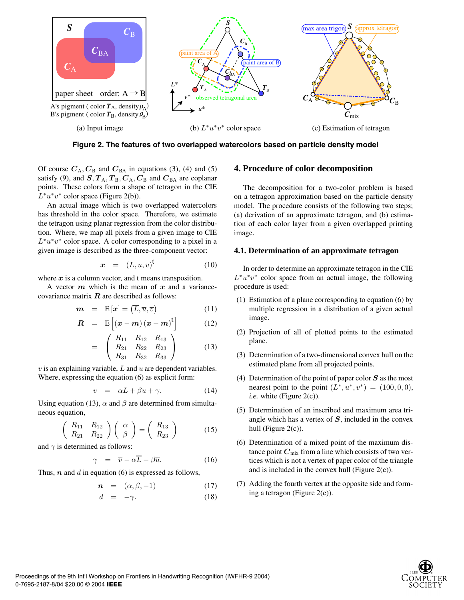

**Figure 2. The features of two overlapped watercolors based on particle density model**

Of course  $C_A$ ,  $C_B$  and  $C_{BA}$  in equations (3), (4) and (5) satisfy (9), and  $S, T_A, T_B, C_A, C_B$  and  $C_{BA}$  are coplanar points. These colors form a shape of tetragon in the CIE  $L^*u^*v^*$  color space (Figure 2(b)).

An actual image which is two overlapped watercolors has threshold in the color space. Therefore, we estimate the tetragon using planar regression from the color distribution. Where, we map all pixels from a given image to CIE  $L^*u^*v^*$  color space. A color corresponding to a pixel in a given image is described as the three-component vector:

$$
x = (L, u, v)^t \tag{10}
$$

where *x* is a column vector, and t means transposition.

A vector *m* which is the mean of *x* and a variancecovariance matrix *R* are described as follows:

$$
\boldsymbol{m} = \mathbf{E}[\boldsymbol{x}] = (\overline{L}, \overline{u}, \overline{v}) \tag{11}
$$

$$
R = E\left[ (x - m)(x - m)^t \right] \tag{12}
$$

$$
= \begin{pmatrix} R_{11} & R_{12} & R_{13} \\ R_{21} & R_{22} & R_{23} \\ R_{31} & R_{32} & R_{33} \end{pmatrix}
$$
 (13)

 $v$  is an explaining variable,  $L$  and  $u$  are dependent variables. Where, expressing the equation (6) as explicit form:

$$
v = \alpha L + \beta u + \gamma. \tag{14}
$$

Using equation (13),  $\alpha$  and  $\beta$  are determined from simultaneous equation,

$$
\left(\begin{array}{cc} R_{11} & R_{12} \\ R_{21} & R_{22} \end{array}\right) \left(\begin{array}{c} \alpha \\ \beta \end{array}\right) = \left(\begin{array}{c} R_{13} \\ R_{23} \end{array}\right) \tag{15}
$$

and  $\gamma$  is determined as follows:

$$
\gamma = \overline{v} - \alpha \overline{L} - \beta \overline{u}.
$$
 (16)

Thus,  $n$  and  $d$  in equation (6) is expressed as follows,

$$
\boldsymbol{n} = (\alpha, \beta, -1) \tag{17}
$$

$$
d = -\gamma. \tag{18}
$$

#### **4. Procedure of color decomposition**

The decomposition for a two-color problem is based on a tetragon approximation based on the particle density model. The procedure consists of the following two steps; (a) derivation of an approximate tetragon, and (b) estimation of each color layer from a given overlapped printing image.

#### **4.1. Determination of an approximate tetragon**

In order to determine an approximate tetragon in the CIE  $L^*u^*v^*$  color space from an actual image, the following procedure is used:

- (1) Estimation of a plane corresponding to equation (6) by multiple regression in a distribution of a given actual image.
- (2) Projection of all of plotted points to the estimated plane.
- (3) Determination of a two-dimensional convex hull on the estimated plane from all projected points.
- (4) Determination of the point of paper color *S* as the most nearest point to the point  $(L^*, u^*, v^*) = (100, 0, 0),$ *i.e.* white (Figure 2(c)).
- (5) Determination of an inscribed and maximum area triangle which has a vertex of *S*, included in the convex hull (Figure  $2(c)$ ).
- (6) Determination of a mixed point of the maximum distance point  $C_{\text{mix}}$  from a line which consists of two vertices which is not a vertex of paper color of the triangle and is included in the convex hull (Figure  $2(c)$ ).
- (7) Adding the fourth vertex at the opposite side and forming a tetragon (Figure 2(c)).

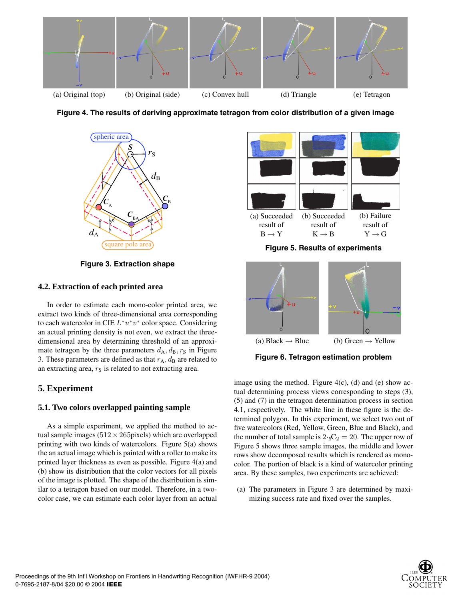





**Figure 3. Extraction shape**

#### **4.2. Extraction of each printed area**

In order to estimate each mono-color printed area, we extract two kinds of three-dimensional area corresponding to each watercolor in CIE  $L^*u^*v^*$  color space. Considering an actual printing density is not even, we extract the threedimensional area by determining threshold of an approximate tetragon by the three parameters  $d_A, d_B, r_S$  in Figure 3. These parameters are defined as that  $r_A$ ,  $d_B$  are related to an extracting area,  $r<sub>S</sub>$  is related to not extracting area.

### **5. Experiment**

#### **5.1. Two colors overlapped painting sample**

As a simple experiment, we applied the method to actual sample images ( $512 \times 265$ pixels) which are overlapped printing with two kinds of watercolors. Figure 5(a) shows the an actual image which is painted with a roller to make its printed layer thickness as even as possible. Figure 4(a) and (b) show its distribution that the color vectors for all pixels of the image is plotted. The shape of the distribution is similar to a tetragon based on our model. Therefore, in a twocolor case, we can estimate each color layer from an actual



**Figure 5. Results of experiments**



**Figure 6. Tetragon estimation problem**

image using the method. Figure  $4(c)$ , (d) and (e) show actual determining process views corresponding to steps (3), (5) and (7) in the tetragon determination process in section 4.1, respectively. The white line in these figure is the determined polygon. In this experiment, we select two out of five watercolors (Red, Yellow, Green, Blue and Black), and the number of total sample is  $2 \cdot {}_{5}C_2 = 20$ . The upper row of Figure 5 shows three sample images, the middle and lower rows show decomposed results which is rendered as monocolor. The portion of black is a kind of watercolor printing area. By these samples, two experiments are achieved:

(a) The parameters in Figure 3 are determined by maximizing success rate and fixed over the samples.

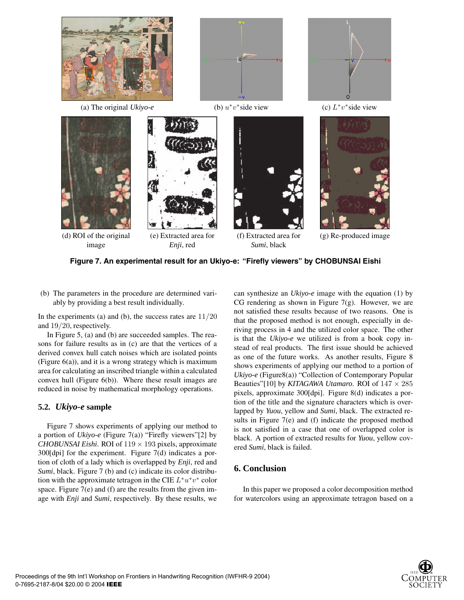

(a) The original *Ukiyo-e* (b) u∗v∗side view (c) L∗v∗side view









(d) ROI of the original image

(e) Extracted area for *Enji*, red

(f) Extracted area for *Sumi*, black

(g) Re-produced image



(b) The parameters in the procedure are determined variably by providing a best result individually.

In the experiments (a) and (b), the success rates are  $11/20$ and 19/20, respectively.

In Figure 5, (a) and (b) are succeeded samples. The reasons for failure results as in (c) are that the vertices of a derived convex hull catch noises which are isolated points (Figure 6(a)), and it is a wrong strategy which is maximum area for calculating an inscribed triangle within a calculated convex hull (Figure 6(b)). Where these result images are reduced in noise by mathematical morphology operations.

### **5.2.** *Ukiyo-e* **sample**

Figure 7 shows experiments of applying our method to a portion of *Ukiyo-e* (Figure 7(a)) "Firefly viewers"[2] by *CHOBUNSAI Eishi*. ROI of 119  $\times$  193 pixels, approximate 300[dpi] for the experiment. Figure 7(d) indicates a portion of cloth of a lady which is overlapped by *Enji*, red and *Sumi*, black. Figure 7 (b) and (c) indicate its color distribution with the approximate tetragon in the CIE  $L^*u^*v^*$  color space. Figure 7(e) and (f) are the results from the given image with *Enji* and *Sumi*, respectively. By these results, we

can synthesize an *Ukiyo-e* image with the equation (1) by CG rendering as shown in Figure  $7(g)$ . However, we are not satisfied these results because of two reasons. One is that the proposed method is not enough, especially in deriving process in 4 and the utilized color space. The other is that the *Ukiyo-e* we utilized is from a book copy instead of real products. The first issue should be achieved as one of the future works. As another results, Figure 8 shows experiments of applying our method to a portion of *Ukiyo-e* (Figure8(a)) "Collection of Contemporary Popular Beauties"[10] by *KITAGAWA Utamaro*. ROI of  $147 \times 285$ pixels, approximate 300[dpi]. Figure 8(d) indicates a portion of the title and the signature characters which is overlapped by *Yuou*, yellow and *Sumi*, black. The extracted results in Figure 7(e) and (f) indicate the proposed method is not satisfied in a case that one of overlapped color is black. A portion of extracted results for *Yuou*, yellow covered *Sumi*, black is failed.

## **6. Conclusion**

In this paper we proposed a color decomposition method for watercolors using an approximate tetragon based on a